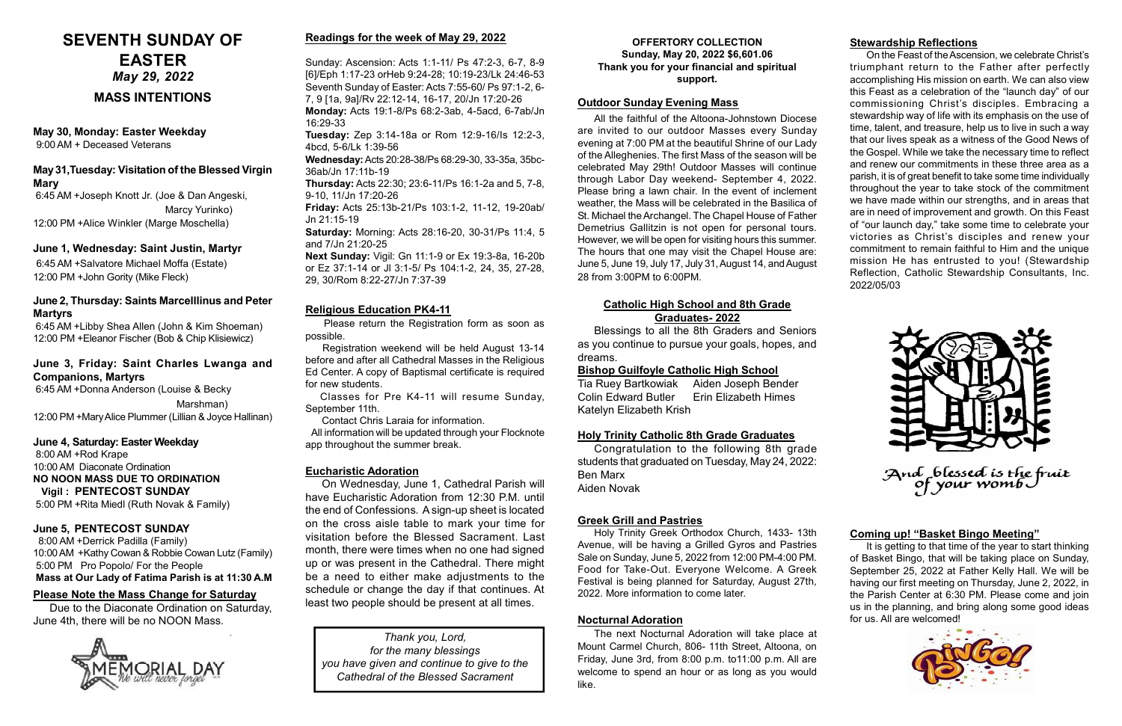#### June 5, PENTECOST SUNDAY

 8:00 AM +Derrick Padilla (Family) 10:00 AM +Kathy Cowan & Robbie Cowan Lutz (Family) 5:00 PM Pro Popolo/ For the People Mass at Our Lady of Fatima Parish is at 11:30 A.M

#### May 30, Monday: Easter Weekday

9:00 AM + Deceased Veterans

#### OFFERTORY COLLECTION Sunday, May 20, 2022 \$6,601.06 Thank you for your financial and spiritual support.

# June 3, Friday: Saint Charles Lwanga and Companions, Martyrs

 6:45 AM +Donna Anderson (Louise & Becky Marshman) 12:00 PM +Mary Alice Plummer (Lillian & Joyce Hallinan)

#### June 4, Saturday: Easter Weekday

 8:00 AM +Rod Krape 10:00 AM Diaconate Ordination NO NOON MASS DUE TO ORDINATION Vigil : PENTECOST SUNDAY 5:00 PM +Rita Miedl (Ruth Novak & Family)

> Thank you, Lord, for the many blessings you have given and continue to give to the Cathedral of the Blessed Sacrament

# MASS INTENTIONS

# Stewardship Reflections

On the Feast of the Ascension, we celebrate Christ's triumphant return to the Father after perfectly accomplishing His mission on earth. We can also view this Feast as a celebration of the "launch day" of our commissioning Christ's disciples. Embracing a stewardship way of life with its emphasis on the use of time, talent, and treasure, help us to live in such a way that our lives speak as a witness of the Good News of the Gospel. While we take the necessary time to reflect and renew our commitments in these three area as a parish, it is of great benefit to take some time individually throughout the year to take stock of the commitment we have made within our strengths, and in areas that are in need of improvement and growth. On this Feast of "our launch day," take some time to celebrate your victories as Christ's disciples and renew your commitment to remain faithful to Him and the unique mission He has entrusted to you! (Stewardship Reflection, Catholic Stewardship Consultants, Inc. 2022/05/03



# May 31,Tuesday: Visitation of the Blessed Virgin **Mary**

#### June 2, Thursday: Saints Marcelllinus and Peter **Martyrs**

# May 29, 2022 SEVENTH SUNDAY OF EASTER

All the faithful of the Altoona-Johnstown Diocese are invited to our outdoor Masses every Sunday evening at 7:00 PM at the beautiful Shrine of our Lady of the Alleghenies. The first Mass of the season will be celebrated May 29th! Outdoor Masses will continue through Labor Day weekend- September 4, 2022. Please bring a lawn chair. In the event of inclement weather, the Mass will be celebrated in the Basilica of St. Michael the Archangel. The Chapel House of Father Demetrius Gallitzin is not open for personal tours. However, we will be open for visiting hours this summer. The hours that one may visit the Chapel House are: June 5, June 19, July 17, July 31, August 14, and August 28 from 3:00PM to 6:00PM.

#### Please Note the Mass Change for Saturday

Due to the Diaconate Ordination on Saturday, June 4th, there will be no NOON Mass.



# Religious Education PK4-11

 Please return the Registration form as soon as possible.

 Registration weekend will be held August 13-14 before and after all Cathedral Masses in the Religious Ed Center. A copy of Baptismal certificate is required for new students.

 Classes for Pre K4-11 will resume Sunday, September 11th.

Contact Chris Laraia for information.

 All information will be updated through your Flocknote app throughout the summer break.

#### Outdoor Sunday Evening Mass

#### Coming up! "Basket Bingo Meeting"

It is getting to that time of the year to start thinking of Basket Bingo, that will be taking place on Sunday, September 25, 2022 at Father Kelly Hall. We will be having our first meeting on Thursday, June 2, 2022, in the Parish Center at 6:30 PM. Please come and join us in the planning, and bring along some good ideas for us. All are welcomed!



#### June 1, Wednesday: Saint Justin, Martyr

6:45 AM +Salvatore Michael Moffa (Estate) 12:00 PM +John Gority (Mike Fleck)

 6:45 AM +Joseph Knott Jr. (Joe & Dan Angeski, Marcy Yurinko) 12:00 PM +Alice Winkler (Marge Moschella)

 6:45 AM +Libby Shea Allen (John & Kim Shoeman) 12:00 PM +Eleanor Fischer (Bob & Chip Klisiewicz)

# Readings for the week of May 29, 2022

Sunday: Ascension: Acts 1:1-11/ Ps 47:2-3, 6-7, 8-9 [6]/Eph 1:17-23 orHeb 9:24-28; 10:19-23/Lk 24:46-53 Seventh Sunday of Easter: Acts 7:55-60/ Ps 97:1-2, 6- 7, 9 [1a, 9a]/Rv 22:12-14, 16-17, 20/Jn 17:20-26 Monday: Acts 19:1-8/Ps 68:2-3ab, 4-5acd, 6-7ab/Jn 16:29-33

Tuesday: Zep 3:14-18a or Rom 12:9-16/Is 12:2-3, 4bcd, 5-6/Lk 1:39-56

Wednesday: Acts 20:28-38/Ps 68:29-30, 33-35a, 35bc-36ab/Jn 17:11b-19

Thursday: Acts 22:30; 23:6-11/Ps 16:1-2a and 5, 7-8, 9-10, 11/Jn 17:20-26

Friday: Acts 25:13b-21/Ps 103:1-2, 11-12, 19-20ab/ Jn 21:15-19

Saturday: Morning: Acts 28:16-20, 30-31/Ps 11:4, 5 and 7/Jn 21:20-25

Next Sunday: Vigil: Gn 11:1-9 or Ex 19:3-8a, 16-20b or Ez 37:1-14 or Jl 3:1-5/ Ps 104:1-2, 24, 35, 27-28, 29, 30/Rom 8:22-27/Jn 7:37-39

#### Eucharistic Adoration

On Wednesday, June 1, Cathedral Parish will have Eucharistic Adoration from 12:30 P.M. until the end of Confessions. A sign-up sheet is located on the cross aisle table to mark your time for visitation before the Blessed Sacrament. Last month, there were times when no one had signed up or was present in the Cathedral. There might be a need to either make adjustments to the schedule or change the day if that continues. At least two people should be present at all times.

#### Nocturnal Adoration

The next Nocturnal Adoration will take place at Mount Carmel Church, 806- 11th Street, Altoona, on Friday, June 3rd, from 8:00 p.m. to11:00 p.m. All are welcome to spend an hour or as long as you would like.

# Greek Grill and Pastries

Holy Trinity Greek Orthodox Church, 1433- 13th Avenue, will be having a Grilled Gyros and Pastries Sale on Sunday, June 5, 2022 from 12:00 PM-4:00 PM. Food for Take-Out. Everyone Welcome. A Greek Festival is being planned for Saturday, August 27th, 2022. More information to come later.

#### Holy Trinity Catholic 8th Grade Graduates

Congratulation to the following 8th grade students that graduated on Tuesday, May 24, 2022: Ben Marx Aiden Novak

### Catholic High School and 8th Grade Graduates- 2022

Blessings to all the 8th Graders and Seniors as you continue to pursue your goals, hopes, and dreams.

#### Bishop Guilfoyle Catholic High School

Tia Ruey Bartkowiak Aiden Joseph Bender Colin Edward Butler Erin Elizabeth Himes Katelyn Elizabeth Krish